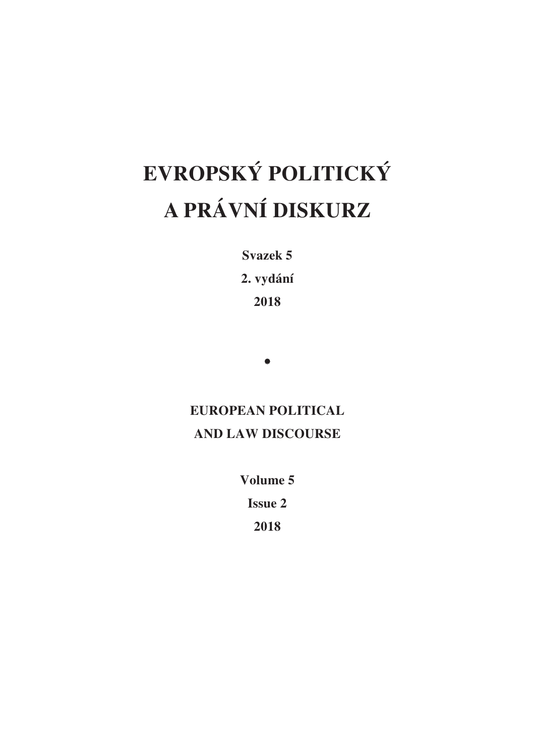# **EVROPSKÝ POLITICKÝ A PRÁVNÍ DISKURZ**

**Svazek 5 2. vydání** 

**2018** 

•

## **EUROPEAN POLITICAL AND LAW DISCOURSE**

**Volume 5 Issue 2** 

**2018**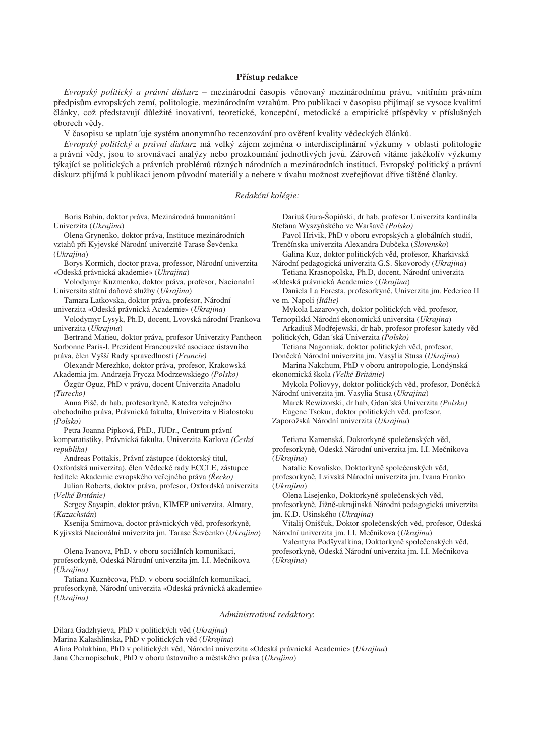#### **PĜístup redakce**

*Evropský politický a právní diskurz – mezinárodní časopis věnovaný mezinárodnímu právu, vnitřním právním* předpisům evropských zemí, politologie, mezinárodním vztahům. Pro publikaci v časopisu přijímají se vysoce kvalitní články, což představují důležité inovativní, teoretické, koncepční, metodické a empirické příspěvky v příslušných oborech vědy.

V časopisu se uplatn´uje systém anonymního recenzování pro ověření kvality vědeckých článků.

*Evropský politický a právní diskurz* má velký zájem zejména o interdisciplinární výzkumy v oblasti politologie a právní vědy, jsou to srovnávací analýzy nebo prozkoumání jednotlivých jevů. Zároveň vítáme jakékolív výzkumy týkající se politických a právních problémů různých národních a mezinárodních institucí. Evropský politický a právní diskurz přijímá k publikaci jenom původní materiály a nebere v úvahu možnost zveřejňovat dříve tištěné članky.

#### *Redakþní kolégie:*

Boris Babin, doktor práva, Mezinárodná humanitární Univerzita (*Ukrajina*)

Olena Grynenko, doktor práva, Instituce mezinárodních vztahů při Kyjevské Národní univerzitě Tarase Ševčenka (*Ukrajina*)

Borys Kormich, doctor prava, professor, Národní univerzita «Odeská právnická akademie» (*Ukrajina*)

Volodymyr Kuzmenko, doktor práva, profesor, Nacionalní Universita státní daňové služby (*Ukrajina*)

Tamara Latkovska, doktor práva, profesor, Národní univerzita «Odeská právnická Academie» (*Ukrajina*)

Volodymyr Lysyk, Ph.D, docent, Lvovská národní Frankova univerzita (*Ukrajina*)

Bertrand Matieu, doktor práva, profesor Univerzity Pantheon Sorbonne Paris-I, Prezident Francouzské asociace ústavního práva, člen Vyšší Rady spravedlnosti (Francie)

Olexandr Merezhko, doktor práva, profesor, Krakowská Akademia jm. Andrzeja Frycza Modrzewskiego *(Polsko)*

Özgür Oguz, PhD v právu, docent Univerzita Anadolu *(Turecko)*

Anna Pišč, dr hab, profesorkyně, Katedra veřejného obchodního práva, Právnická fakulta, Univerzita v Bialostoku *(Polsko)*

Petra Joanna Pipková, PhD., JUDr., Centrum právní komparatistiky, Právnická fakulta, Univerzita Karlova *(ýeská republika)*

Andreas Pottakis, Právní zástupce (doktorský titul, Oxfordská univerzita), člen Vědecké rady ECCLE, zástupce Ĝeditele Akademie evropského veĜejného práva *(ěecko)*

Julian Roberts, doktor práva, profesor, Oxfordská univerzita *(Velké Británie)*

Sergey Sayapin, doktor práva, KIMEP univerzita, Almaty, (*Kazachstán*)

Ksenija Smirnova, doctor právnických věd, profesorkyně, Kyjivská Nacionální univerzita jm. Tarase Ševčenko (*Ukrajina*)

Olena Ivanova, PhD. v oboru sociálních komunikaci, profesorkyně, Odeská Národní univerzita jm. I.I. Mečnikova *(Ukrajina)*

Tatiana Kuzněcova, PhD. v oboru sociálních komunikaci, profesorkyně, Národní univerzita «Odeská právnická akademie» *(Ukrajina)*

Dariuš Gura-Šopiński, dr hab, profesor Univerzita kardinála Stefana Wyszyńského ve Waršavě (Polsko)

Pavol Hrivik, PhD v oboru evropských a globálních studií, Trenčínska univerzita Alexandra Dubčeka (*Slovensko*)

Galina Kuz, doktor politických věd, profesor, Kharkivská Národní pedagogická univerzita G.S. Skovorody (*Ukrajina*)

Tetiana Krasnopolska, Ph.D, docent, Národní univerzita «Odeská právnická Academie» (*Ukrajina*)

Daniela La Foresta, profesorkyně, Univerzita jm. Federico II ve m. Napoli *(Itálie)*

Mykola Lazarovych, doktor politických věd, profesor, Ternopilská Národní ekonomická universita (*Ukrajina*)

Arkadiuš Modřejewski, dr hab, profesor profesor katedy věd polɿtických, Gdan´ská Univerzita *(Polsko)*

Tetiana Nagorniak, doktor politických věd, profesor, DonČcká Národní univerzita jm. Vasylia Stusa (*Ukrajina*)

Marina Nakchum, PhD v oboru antropologie, Londýnská ekonomická škola *(Velké Británie)*

Mykola Poliovyy, doktor politických věd, profesor, Doněcká Národní univerzita jm. Vasylia Stusa (*Ukrajina*)

Marek Rewizorski, dr hab, Gdan´ská Univerzita *(Polsko)*  Eugene Tsokur, doktor politických věd, profesor,

Zaporožská Národní univerzita (*Ukrajina*)

Tetiana Kamenská, Doktorkyně společenských věd, profesorkyně, Odeská Národní univerzita jm. I.I. Mečnikova (*Ukrajina*)

Natalie Kovalisko, Doktorkyně společenských věd, profesorkyně, Lvivská Národní univerzita jm. Ivana Franko (*Ukrajina*)

Olena Lisejenko, Doktorkyně společenských věd, profesorkyně, Jižně-ukrajinská Národní pedagogická univerzita jm. K.D. Ušinského (*Ukrajina*)

Vitalij Oniščuk, Doktor společenských věd, profesor, Odeská Národní univerzita jm. I.I. Mečnikova (*Ukrajina*)

Valentyna Podšyvalkina, Doktorkyně společenských věd, profesorkyně, Odeská Národní univerzita jm. I.I. Mečnikova (*Ukrajina*)

#### *Administrativní redaktory*:

Dilara Gadzhyieva, PhD v politických věd (*Ukrajina*) Marina Kalashlinska, PhD v politických věd (*Ukrajina*) Alina Polukhina, PhD v politických věd, Národní univerzita «Odeská právnická Academie» (*Ukrajina*) Jana Chernopischuk, PhD v oboru ústavního a mČstského práva (*Ukrajina*)